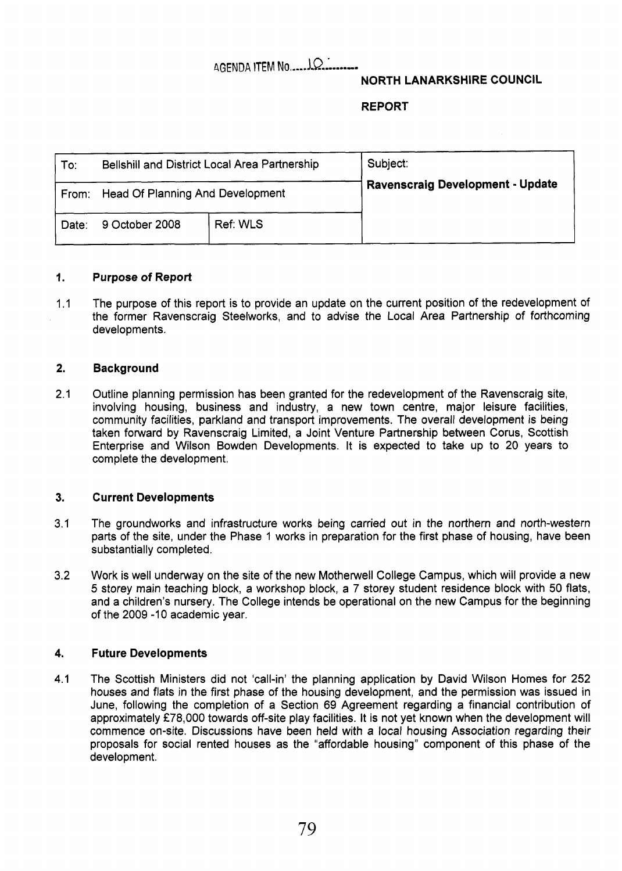# **AGENDA** lfEM **NO** ..... J.Q. .:....-.

## **NORTH LANARKSHIRE COUNCIL**

### **REPORT**

| To:   | Bellshill and District Local Area Partnership |          | Subject:<br><b>Ravenscraig Development - Update</b> |
|-------|-----------------------------------------------|----------|-----------------------------------------------------|
| From: | <b>Head Of Planning And Development</b>       |          |                                                     |
| Date: | 9 October 2008                                | Ref: WLS |                                                     |

#### **1. Purpose of Report**

1.1 The purpose of this report is to provide an update on the current position of the redevelopment of the former Ravenscraig Steelworks, and to advise the Local Area Partnership of forthcoming developments.

#### **2. Background**

2.1 Outline planning permission has been granted for the redevelopment of the Ravenscraig site, involving housing, business and industry, a new town centre, major leisure facilities, community facilities, parkland and transport improvements. The overall development is being taken forward by Ravenscraig Limited, a Joint Venture Partnership between Corus, Scottish Enterprise and Wilson Bowden Developments. It is expected to take up to 20 years to complete the development.

#### **3. Current Developments**

- 3.1 The groundworks and infrastructure works being carried out in the northern and north-western parts of the site, under the Phase 1 works in preparation for the first phase of housing, have been substantially completed.
- 3.2 Work is well underway on the site of the new Motherwell College Campus, which will provide a new 5 storey main teaching block, a workshop block, a 7 storey student residence block with 50 flats, and a children's nursery. The College intends be operational on the new Campus for the beginning of the 2009 -10 academic year.

#### **4. Future Developments**

**4.1**  The Scottish Ministers did not 'call-in' the planning application by David Wilson Homes for 252 houses and flats in the first phase of the housing development, and the permission was issued in June, following the completion of a Section 69 Agreement regarding a financial contribution of approximately **f** 78,000 towards off-site play facilities. It is not yet known when the development will commence on-site. Discussions have been held with a local housing Association regarding their proposals for social rented houses as the "affordable housing" component of this phase of the development.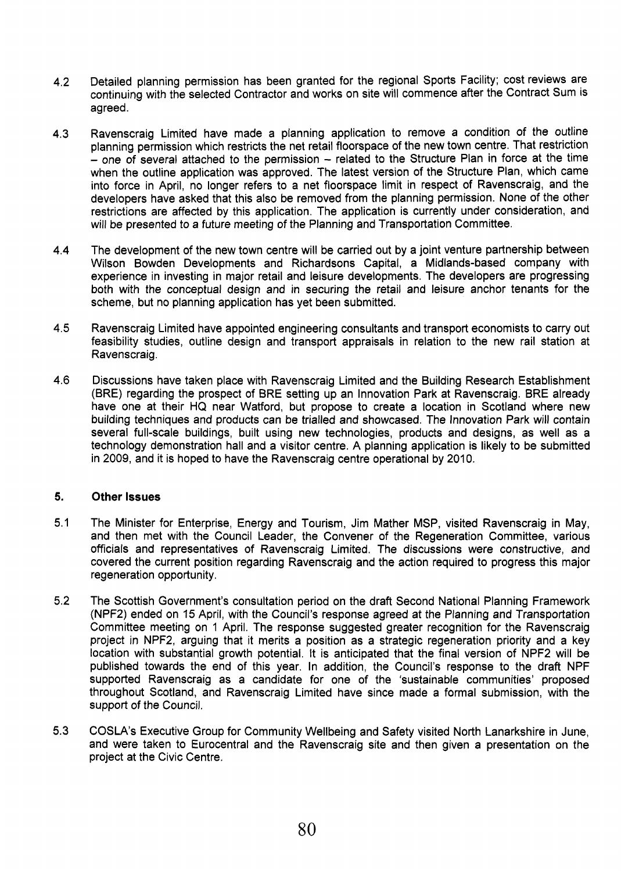- 4.2 Detailed planning permission has been granted for the regional Sports Facility; cost reviews are continuing with the selected Contractor and works on site will commence after the Contract Sum is agreed.
- **4.3**  Ravenscraig Limited have made a planning application to remove a condition of the outline planning permission which restricts the net retail floorspace of the new town centre. That restriction - one of several attached to the permission  $-$  related to the Structure Plan in force at the time when the outline application was approved. The latest version of the Structure Plan, which came into force in April, no longer refers to a net floorspace limit in respect of Ravenscraig, and the developers have asked that this also be removed from the planning permission. None of the other restrictions are affected by this application. The application is currently under consideration, and will be presented to a future meeting of the Planning and Transportation Committee.
- 4.4 The development of the new town centre will be carried out by a joint venture partnership between Wilson Bowden Developments and Richardsons Capital, a Midlands-based company with experience in investing in major retail and leisure developments. The developers are progressing both with the conceptual design and in securing the retail and leisure anchor tenants for the scheme, but no planning application has yet been submitted.
- 4.5 Ravenscraig Limited have appointed engineering consultants and transport economists to carry out feasibility studies, outline design and transport appraisals in relation to the new rail station at Ravenscraig.
- 4.6 Discussions have taken place with Ravenscraig Limited and the Building Research Establishment (BRE) regarding the prospect of BRE setting up an Innovation Park at Ravenscraig. BRE already have one at their HQ near Watford, but propose to create a location in Scotland where new building techniques and products can be trialled and showcased. The Innovation Park will contain several full-scale buildings, built using new technologies, products and designs, as well as a technology demonstration hall and a visitor centre. A planning application is likely to be submitted in 2009, and it is hoped to have the Ravenscraig centre operational by 2010.

#### **5. Other Issues**

- 5.1 The Minister for Enterprise, Energy and Tourism, Jim Mather MSP, visited Ravenscraig in May, and then met with the Council Leader, the Convener of the Regeneration Committee, various officials and representatives of Ravenscraig Limited. The discussions were constructive, and covered the current position regarding Ravenscraig and the action required to progress this major regeneration opportunity.
- **5.2**  The Scottish Government's consultation period on the draft Second National Planning Framework (NPF2) ended on 15 April, with the Council's response agreed at the Planning and Transportation Committee meeting on 1 April. The response suggested greater recognition for the Ravenscraig project in NPF2, arguing that it merits a position as a strategic regeneration priority and a key location with substantial growth potential. It is anticipated that the final version of NPF2 will be published towards the end of this year. In addition, the Council's response to the draft NPF supported Ravenscraig as a candidate for one of the 'sustainable communities' proposed throughout Scotland, and Ravenscraig Limited have since made a formal submission, with the support of the Council.
- **5.3**  COSLA's Executive Group for Community Wellbeing and Safety visited North Lanarkshire in June, and were taken to Eurocentral and the Ravenscraig site and then given a presentation on the project at the Civic Centre.